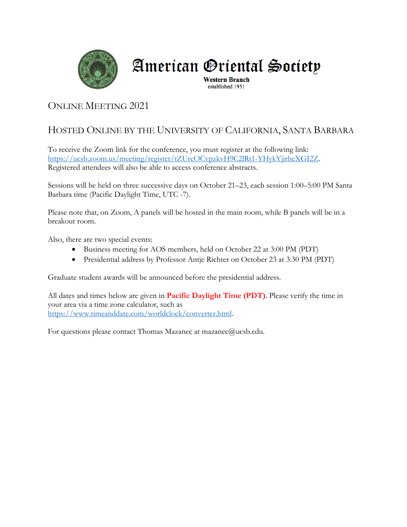

# American Oriental Society

**Western Branch** established 1951

## ONLINE MEETING 2021

# HOSTED ONLINE BY THE UNIVERSITY OF CALIFORNIA, SANTA BARBARA

To receive the Zoom link for the conference, you must register at the following link: https://ucsb.zoom.us/meeting/register/tZUrcOCvpzkvH9C2lRt1-YHykYjirheXGI2Z. Registered attendees will also be able to access conference abstracts.

Sessions will be held on three successive days on October 21–23, each session 1:00–5:00 PM Santa Barbara time (Pacific Daylight Time, UTC -7).

Please note that, on Zoom, A panels will be hosted in the main room, while B panels will be in a breakout room.

Also, there are two special events:

- Business meeting for AOS members, held on October 22 at 3:00 PM (PDT)
- Presidential address by Professor Antje Richter on October 23 at 3:30 PM (PDT)

Graduate student awards will be announced before the presidential address.

All dates and times below are given in **Pacific Daylight Time (PDT)**. Please verify the time in your area via a time zone calculator, such as https://www.timeanddate.com/worldclock/converter.html.

For questions please contact Thomas Mazanec at mazanec@ucsb.edu.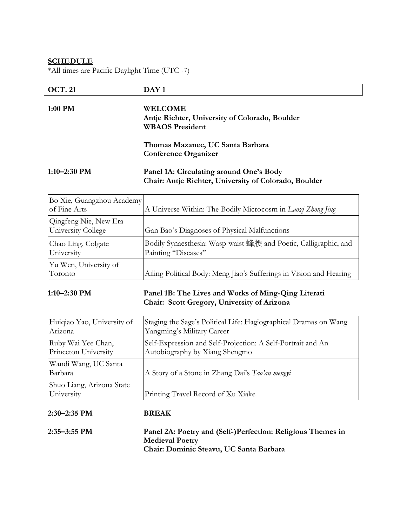### **SCHEDULE**

\*All times are Pacific Daylight Time (UTC -7)

| <b>OCT. 21</b> | DAY 1                                                                                            |
|----------------|--------------------------------------------------------------------------------------------------|
| 1:00 PM        | <b>WELCOME</b><br>Antje Richter, University of Colorado, Boulder<br><b>WBAOS</b> President       |
|                | Thomas Mazanec, UC Santa Barbara<br><b>Conference Organizer</b>                                  |
| 1:10–2:30 PM   | Panel 1A: Circulating around One's Body<br>Chair: Antje Richter, University of Colorado, Boulder |

| Bo Xie, Guangzhou Academy<br>of Fine Arts   | A Universe Within: The Bodily Microcosm in Laozi Zhong Jing                             |
|---------------------------------------------|-----------------------------------------------------------------------------------------|
| Qingfeng Nie, New Era<br>University College | Gan Bao's Diagnoses of Physical Malfunctions                                            |
| Chao Ling, Colgate<br>University            | Bodily Synaesthesia: Wasp-waist 蜂腰 and Poetic, Calligraphic, and<br>Painting "Diseases" |
| Yu Wen, University of<br>Toronto            | Ailing Political Body: Meng Jiao's Sufferings in Vision and Hearing                     |

### **1:10–2:30 PM Panel 1B: The Lives and Works of Ming-Qing Literati Chair: Scott Gregory, University of Arizona**

| Huiqiao Yao, University of              | Staging the Sage's Political Life: Hagiographical Dramas on Wang |
|-----------------------------------------|------------------------------------------------------------------|
| Arizona                                 | Yangming's Military Career                                       |
| Ruby Wai Yee Chan,                      | Self-Expression and Self-Projection: A Self-Portrait and An      |
| Princeton University                    | Autobiography by Xiang Shengmo                                   |
| Wandi Wang, UC Santa<br>Barbara         | A Story of a Stone in Zhang Dai's Tao'an mengyi                  |
| Shuo Liang, Arizona State<br>University | Printing Travel Record of Xu Xiake                               |

### **2:30–2:35 PM BREAK**

| $2:35-3:55$ PM | Panel 2A: Poetry and (Self-)Perfection: Religious Themes in |
|----------------|-------------------------------------------------------------|
|                | <b>Medieval Poetry</b>                                      |
|                | Chair: Dominic Steavu, UC Santa Barbara                     |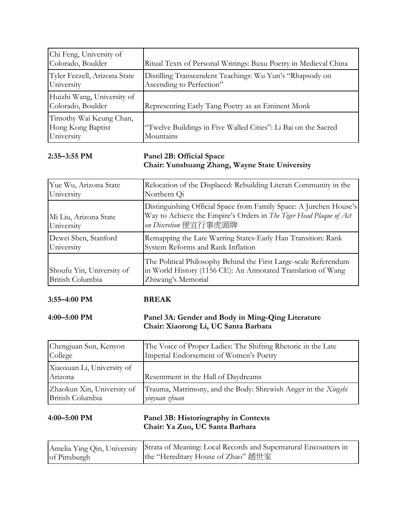| Chi Feng, University of<br>Colorado, Boulder               | Ritual Texts of Personal Writings: Buxu Poetry in Medieval China                     |
|------------------------------------------------------------|--------------------------------------------------------------------------------------|
| Tyler Feezell, Arizona State<br>University                 | Distilling Transcendent Teachings: Wu Yun's "Rhapsody on<br>Ascending to Perfection" |
| Huizhi Wang, University of<br>Colorado, Boulder            | Representing Early Tang Poetry as an Eminent Monk                                    |
| Timothy Wai Keung Chan,<br>Hong Kong Baptist<br>University | "Twelve Buildings in Five Walled Cities": Li Bai on the Sacred<br>Mountains          |

### **2:35–3:55 PM Panel 2B: Official Space Chair: Yunshuang Zhang, Wayne State University**

| Yue Wu, Arizona State                         | Relocation of the Displaced: Rebuilding Literati Community in the                                                                                                 |
|-----------------------------------------------|-------------------------------------------------------------------------------------------------------------------------------------------------------------------|
| University                                    | Northern Qi                                                                                                                                                       |
| Mi Liu, Arizona State<br>University           | Distinguishing Official Space from Family Space: A Jurchen House's<br>Way to Achieve the Empire's Orders in The Tiger Head Plaque of Act<br>on Discretion 便宜行事虎頭牌 |
| Dewei Shen, Stanford                          | Remapping the Late Warring States-Early Han Transition: Rank                                                                                                      |
| University                                    | System Reforms and Rank Inflation                                                                                                                                 |
| Shoufu Yin, University of<br>British Columbia | The Political Philosophy Behind the First Large-scale Referendum<br>in World History (1156 CE): An Annotated Translation of Wang<br>Zhiwang's Memorial            |

**3:55–4:00 PM BREAK**

### **4:00–5:00 PM Panel 3A: Gender and Body in Ming-Qing Literature Chair: Xiaorong Li, UC Santa Barbara**

| Chengjuan Sun, Kenyon                 | The Voice of Proper Ladies: The Shifting Rhetoric in the Late  |
|---------------------------------------|----------------------------------------------------------------|
| College                               | Imperial Endorsement of Women's Poetry                         |
| Xiaoxuan Li, University of<br>Arizona | Resentment in the Hall of Daydreams                            |
| Zhaokun Xin, University of            | Trauma, Matrimony, and the Body: Shrewish Anger in the Xingshi |
| British Columbia                      | yinyuan zhuan                                                  |

### **4:00–5:00 PM Panel 3B: Historiography in Contexts Chair: Ya Zuo, UC Santa Barbara**

|               | Amelia Ying Qin, University Strata of Meaning: Local Records and Supernatural Encounters in |
|---------------|---------------------------------------------------------------------------------------------|
| of Pittsburgh | the "Hereditary House of Zhao" 趙世家                                                          |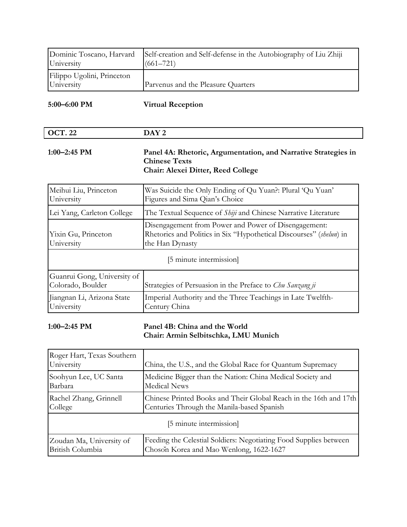| University                               | Dominic Toscano, Harvard Self-creation and Self-defense in the Autobiography of Liu Zhiji<br>$(661 - 721)$ |
|------------------------------------------|------------------------------------------------------------------------------------------------------------|
| Filippo Ugolini, Princeton<br>University | Parvenus and the Pleasure Quarters                                                                         |

**5:00–6:00 PM Virtual Reception**

| ററ   | <b>DAV2</b> |
|------|-------------|
| . 44 | -           |
|      |             |

### **1:00–2:45 PM Panel 4A: Rhetoric, Argumentation, and Narrative Strategies in Chinese Texts Chair: Alexei Ditter, Reed College**

| Meihui Liu, Princeton<br>University              | Was Suicide the Only Ending of Qu Yuan?: Plural 'Qu Yuan'<br>Figures and Sima Qian's Choice                                                    |  |
|--------------------------------------------------|------------------------------------------------------------------------------------------------------------------------------------------------|--|
| Lei Yang, Carleton College                       | The Textual Sequence of <i>Shiji</i> and Chinese Narrative Literature                                                                          |  |
| Yixin Gu, Princeton<br>University                | Disengagement from Power and Power of Disengagement:<br>Rhetorics and Politics in Six "Hypothetical Discourses" (shelun) in<br>the Han Dynasty |  |
| [5 minute intermission]                          |                                                                                                                                                |  |
| Guanrui Gong, University of<br>Colorado, Boulder | Strategies of Persuasion in the Preface to Chu Sanzang ji                                                                                      |  |
| Jiangnan Li, Arizona State<br>University         | Imperial Authority and the Three Teachings in Late Twelfth-<br>Century China                                                                   |  |

### **1:00–2:45 PM Panel 4B: China and the World Chair: Armin Selbitschka, LMU Munich**

| Roger Hart, Texas Southern<br>University | China, the U.S., and the Global Race for Quantum Supremacy        |  |
|------------------------------------------|-------------------------------------------------------------------|--|
| Soohyun Lee, UC Santa                    | Medicine Bigger than the Nation: China Medical Society and        |  |
| Barbara                                  | <b>Medical News</b>                                               |  |
| Rachel Zhang, Grinnell                   | Chinese Printed Books and Their Global Reach in the 16th and 17th |  |
| College                                  | Centuries Through the Manila-based Spanish                        |  |
| [5 minute intermission]                  |                                                                   |  |
| Zoudan Ma, University of                 | Feeding the Celestial Soldiers: Negotiating Food Supplies between |  |
| British Columbia                         | Choson Korea and Mao Wenlong, 1622-1627                           |  |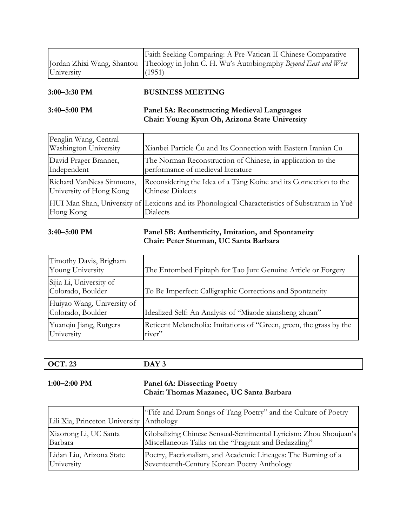|            | Faith Seeking Comparing: A Pre-Vatican II Chinese Comparative                             |
|------------|-------------------------------------------------------------------------------------------|
|            | Jordan Zhixi Wang, Shantou Theology in John C. H. Wu's Autobiography Beyond East and West |
| University | (1951)                                                                                    |
|            |                                                                                           |

| 3:00–3:30 PM | <b>BUSINESS MEETING</b>                            |
|--------------|----------------------------------------------------|
| 3:40–5:00 PM | <b>Panel 5A: Reconstructing Medieval Languages</b> |
|              | Chair: Young Kyun Oh, Arizona State University     |

| Penglin Wang, Central<br>Washington University | Xianbei Particle Cu and Its Connection with Eastern Iranian Cu                                                    |
|------------------------------------------------|-------------------------------------------------------------------------------------------------------------------|
| David Prager Branner,                          | The Norman Reconstruction of Chinese, in application to the                                                       |
| Independent                                    | performance of medieval literature                                                                                |
| Richard VanNess Simmons,                       | Reconsidering the Idea of a Táng Koine and its Connection to the                                                  |
| University of Hong Kong                        | <b>Chinese Dialects</b>                                                                                           |
| Hong Kong                                      | HUI Man Shan, University of Lexicons and its Phonological Characteristics of Substratum in Yuè<br><b>Dialects</b> |

### **3:40–5:00 PM Panel 5B: Authenticity, Imitation, and Spontaneity Chair: Peter Sturman, UC Santa Barbara**

| Timothy Davis, Brigham<br>Young University      | The Entombed Epitaph for Tao Jun: Genuine Article or Forgery                  |
|-------------------------------------------------|-------------------------------------------------------------------------------|
| Sijia Li, University of<br>Colorado, Boulder    | To Be Imperfect: Calligraphic Corrections and Spontaneity                     |
| Huiyao Wang, University of<br>Colorado, Boulder | Idealized Self: An Analysis of "Miaode xiansheng zhuan"                       |
| Yuanqiu Jiang, Rutgers<br>University            | Reticent Melancholia: Imitations of "Green, green, the grass by the<br>river" |

|--|

### **1:00–2:00 PM Panel 6A: Dissecting Poetry Chair: Thomas Mazanec, UC Santa Barbara**

| Lili Xia, Princeton University Anthology | "Fife and Drum Songs of Tang Poetry" and the Culture of Poetry    |
|------------------------------------------|-------------------------------------------------------------------|
| Xiaorong Li, UC Santa                    | Globalizing Chinese Sensual-Sentimental Lyricism: Zhou Shoujuan's |
| Barbara                                  | Miscellaneous Talks on the "Fragrant and Bedazzling"              |
| Lidan Liu, Arizona State                 | Poetry, Factionalism, and Academic Lineages: The Burning of a     |
| University                               | Seventeenth-Century Korean Poetry Anthology                       |